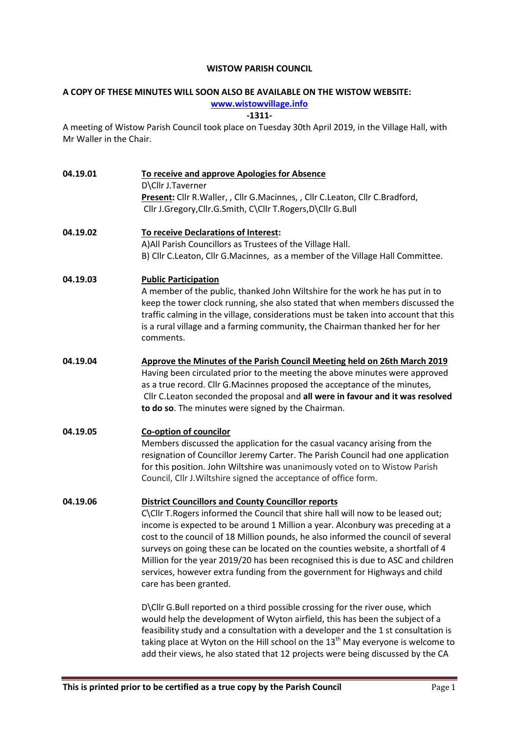#### WISTOW PARISH COUNCIL

# A COPY OF THESE MINUTES WILL SOON ALSO BE AVAILABLE ON THE WISTOW WEBSITE:

#### www.wistowvillage.info

-1311-

A meeting of Wistow Parish Council took place on Tuesday 30th April 2019, in the Village Hall, with Mr Waller in the Chair.

| 04.19.01 | To receive and approve Apologies for Absence<br>D\Cllr J.Taverner<br>Present: Cllr R.Waller, , Cllr G.Macinnes, , Cllr C.Leaton, Cllr C.Bradford,<br>Cllr J.Gregory, Cllr.G.Smith, C\Cllr T.Rogers, D\Cllr G.Bull                                                                                                                                                                                                                                                                                                                                                                                  |  |  |
|----------|----------------------------------------------------------------------------------------------------------------------------------------------------------------------------------------------------------------------------------------------------------------------------------------------------------------------------------------------------------------------------------------------------------------------------------------------------------------------------------------------------------------------------------------------------------------------------------------------------|--|--|
| 04.19.02 | To receive Declarations of Interest:<br>A) All Parish Councillors as Trustees of the Village Hall.<br>B) Cllr C.Leaton, Cllr G.Macinnes, as a member of the Village Hall Committee.                                                                                                                                                                                                                                                                                                                                                                                                                |  |  |
| 04.19.03 | <b>Public Participation</b><br>A member of the public, thanked John Wiltshire for the work he has put in to<br>keep the tower clock running, she also stated that when members discussed the<br>traffic calming in the village, considerations must be taken into account that this<br>is a rural village and a farming community, the Chairman thanked her for her<br>comments.                                                                                                                                                                                                                   |  |  |
| 04.19.04 | Approve the Minutes of the Parish Council Meeting held on 26th March 2019<br>Having been circulated prior to the meeting the above minutes were approved<br>as a true record. Cllr G.Macinnes proposed the acceptance of the minutes,<br>Cllr C. Leaton seconded the proposal and all were in favour and it was resolved<br>to do so. The minutes were signed by the Chairman.                                                                                                                                                                                                                     |  |  |
| 04.19.05 | <b>Co-option of councilor</b><br>Members discussed the application for the casual vacancy arising from the<br>resignation of Councillor Jeremy Carter. The Parish Council had one application<br>for this position. John Wiltshire was unanimously voted on to Wistow Parish<br>Council, Cllr J. Wiltshire signed the acceptance of office form.                                                                                                                                                                                                                                                   |  |  |
| 04.19.06 | <b>District Councillors and County Councillor reports</b><br>C\Cllr T.Rogers informed the Council that shire hall will now to be leased out;<br>income is expected to be around 1 Million a year. Alconbury was preceding at a<br>cost to the council of 18 Million pounds, he also informed the council of several<br>surveys on going these can be located on the counties website, a shortfall of 4<br>Million for the year 2019/20 has been recognised this is due to ASC and children<br>services, however extra funding from the government for Highways and child<br>care has been granted. |  |  |
|          | D\Cllr G.Bull reported on a third possible crossing for the river ouse, which<br>would help the development of Wyton airfield, this has been the subject of a<br>feasibility study and a consultation with a developer and the 1 st consultation is<br>taking place at Wyton on the Hill school on the 13 <sup>th</sup> May everyone is welcome to<br>add their views, he also stated that 12 projects were being discussed by the CA                                                                                                                                                              |  |  |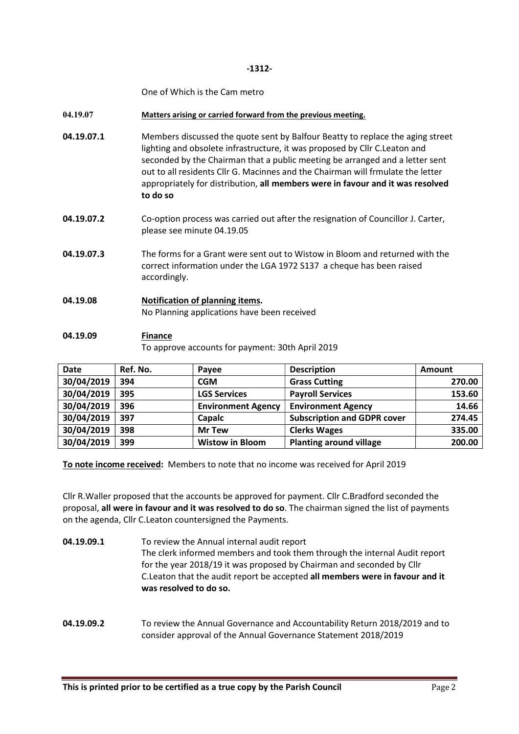#### -1312-

One of Which is the Cam metro

#### 04.19.07 Matters arising or carried forward from the previous meeting.

- **04.19.07.1** Members discussed the quote sent by Balfour Beatty to replace the aging street lighting and obsolete infrastructure, it was proposed by Cllr C.Leaton and seconded by the Chairman that a public meeting be arranged and a letter sent out to all residents Cllr G. Macinnes and the Chairman will frmulate the letter appropriately for distribution, all members were in favour and it was resolved to do so
- 04.19.07.2 Co-option process was carried out after the resignation of Councillor J. Carter, please see minute 04.19.05
- 04.19.07.3 The forms for a Grant were sent out to Wistow in Bloom and returned with the correct information under the LGA 1972 S137 a cheque has been raised accordingly.
- 04.19.08 Notification of planning items. No Planning applications have been received

### 04.19.09 Finance To approve accounts for payment: 30th April 2019

| <b>Date</b> | Ref. No. | Payee                     | <b>Description</b>                 | Amount |
|-------------|----------|---------------------------|------------------------------------|--------|
| 30/04/2019  | 394      | <b>CGM</b>                | <b>Grass Cutting</b>               | 270.00 |
| 30/04/2019  | 395      | <b>LGS Services</b>       | <b>Payroll Services</b>            | 153.60 |
| 30/04/2019  | 396      | <b>Environment Agency</b> | <b>Environment Agency</b>          | 14.66  |
| 30/04/2019  | 397      | Capalc                    | <b>Subscription and GDPR cover</b> | 274.45 |
| 30/04/2019  | 398      | <b>Mr Tew</b>             | <b>Clerks Wages</b>                | 335.00 |
| 30/04/2019  | 399      | <b>Wistow in Bloom</b>    | <b>Planting around village</b>     | 200.00 |

To note income received: Members to note that no income was received for April 2019

Cllr R.Waller proposed that the accounts be approved for payment. Cllr C.Bradford seconded the proposal, all were in favour and it was resolved to do so. The chairman signed the list of payments on the agenda, Cllr C.Leaton countersigned the Payments.

- 04.19.09.1 To review the Annual internal audit report The clerk informed members and took them through the internal Audit report for the year 2018/19 it was proposed by Chairman and seconded by Cllr C.Leaton that the audit report be accepted all members were in favour and it was resolved to do so.
- 04.19.09.2 To review the Annual Governance and Accountability Return 2018/2019 and to consider approval of the Annual Governance Statement 2018/2019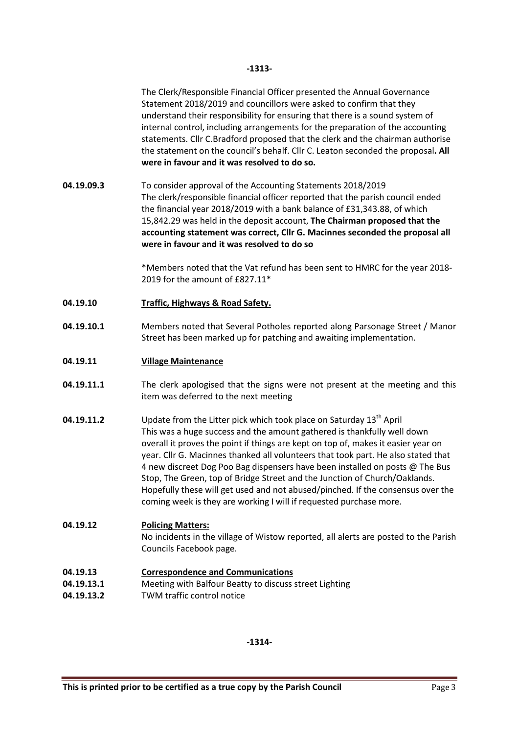The Clerk/Responsible Financial Officer presented the Annual Governance Statement 2018/2019 and councillors were asked to confirm that they understand their responsibility for ensuring that there is a sound system of internal control, including arrangements for the preparation of the accounting statements. Cllr C.Bradford proposed that the clerk and the chairman authorise the statement on the council's behalf. Cllr C. Leaton seconded the proposal. All were in favour and it was resolved to do so.

04.19.09.3 To consider approval of the Accounting Statements 2018/2019 The clerk/responsible financial officer reported that the parish council ended the financial year 2018/2019 with a bank balance of £31,343.88, of which 15,842.29 was held in the deposit account, The Chairman proposed that the accounting statement was correct, Cllr G. Macinnes seconded the proposal all were in favour and it was resolved to do so

> \*Members noted that the Vat refund has been sent to HMRC for the year 2018- 2019 for the amount of £827.11\*

- 04.19.10 Traffic, Highways & Road Safety.
- 04.19.10.1 Members noted that Several Potholes reported along Parsonage Street / Manor Street has been marked up for patching and awaiting implementation.
- 04.19.11 Village Maintenance
- **04.19.11.1** The clerk apologised that the signs were not present at the meeting and this item was deferred to the next meeting
- 04.19.11.2 Update from the Litter pick which took place on Saturday 13<sup>th</sup> April This was a huge success and the amount gathered is thankfully well down overall it proves the point if things are kept on top of, makes it easier year on year. Cllr G. Macinnes thanked all volunteers that took part. He also stated that 4 new discreet Dog Poo Bag dispensers have been installed on posts @ The Bus Stop, The Green, top of Bridge Street and the Junction of Church/Oaklands. Hopefully these will get used and not abused/pinched. If the consensus over the coming week is they are working I will if requested purchase more.

# 04.19.12 Policing Matters: No incidents in the village of Wistow reported, all alerts are posted to the Parish Councils Facebook page.

- 04.19.13 Correspondence and Communications
- 04.19.13.1 Meeting with Balfour Beatty to discuss street Lighting
- 04.19.13.2 TWM traffic control notice

-1314-